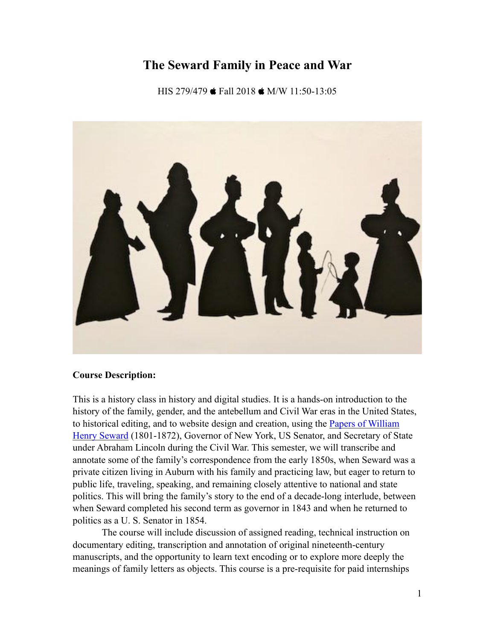# **The Seward Family in Peace and War**

HIS 279/479  $\bullet$  Fall 2018  $\bullet$  M/W 11:50-13:05



#### **Course Description:**

This is a history class in history and digital studies. It is a hands-on introduction to the history of the family, gender, and the antebellum and Civil War eras in the United States, to historical editing, and to website design and creation, using the [Papers of William](http://www.lib.rochester.edu/index.cfm?PAGE=1136)  [Henry Seward](http://www.lib.rochester.edu/index.cfm?PAGE=1136) (1801-1872), Governor of New York, US Senator, and Secretary of State under Abraham Lincoln during the Civil War. This semester, we will transcribe and annotate some of the family's correspondence from the early 1850s, when Seward was a private citizen living in Auburn with his family and practicing law, but eager to return to public life, traveling, speaking, and remaining closely attentive to national and state politics. This will bring the family's story to the end of a decade-long interlude, between when Seward completed his second term as governor in 1843 and when he returned to politics as a U. S. Senator in 1854.

The course will include discussion of assigned reading, technical instruction on documentary editing, transcription and annotation of original nineteenth-century manuscripts, and the opportunity to learn text encoding or to explore more deeply the meanings of family letters as objects. This course is a pre-requisite for paid internships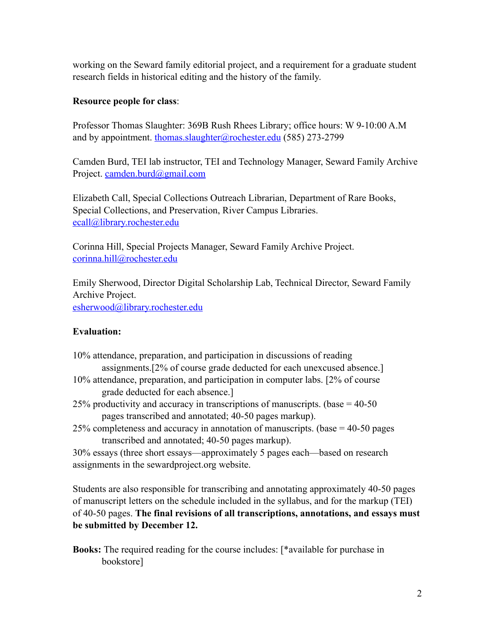working on the Seward family editorial project, and a requirement for a graduate student research fields in historical editing and the history of the family.

## **Resource people for class**:

Professor Thomas Slaughter: 369B Rush Rhees Library; office hours: W 9-10:00 A.M and by appointment. [thomas.slaughter@rochester.edu](mailto:thomas.slaughter@rochester.edu) (585) 273-2799

Camden Burd, TEI lab instructor, TEI and Technology Manager, Seward Family Archive Project. [camden.burd@gmail.com](mailto:camden.burd@gmail.com)

Elizabeth Call, Special Collections Outreach Librarian, Department of Rare Books, Special Collections, and Preservation, River Campus Libraries. [ecall@library.rochester.edu](mailto:ecall@library.rochester.edu) 

Corinna Hill, Special Projects Manager, Seward Family Archive Project. [corinna.hill@rochester.edu](mailto:corinna.hill@rochester.edu) 

Emily Sherwood, Director Digital Scholarship Lab, Technical Director, Seward Family Archive Project. [esherwood@library.rochester.edu](mailto:esherwood@library.rochester.edu) 

# **Evaluation:**

| 10% attendance, preparation, and participation in discussions of reading          |
|-----------------------------------------------------------------------------------|
| assignments. [2% of course grade deducted for each unexcused absence.]            |
| 10% attendance, preparation, and participation in computer labs. [2% of course]   |
| grade deducted for each absence.]                                                 |
| 25% productivity and accuracy in transcriptions of manuscripts. (base $=$ 40-50   |
| pages transcribed and annotated; 40-50 pages markup).                             |
| 25% completeness and accuracy in annotation of manuscripts. (base $=$ 40-50 pages |
| transcribed and annotated; 40-50 pages markup).                                   |
| 30% essays (three short essays—approximately 5 pages each—based on research       |

assignments in the sewardproject.org website.

Students are also responsible for transcribing and annotating approximately 40-50 pages of manuscript letters on the schedule included in the syllabus, and for the markup (TEI) of 40-50 pages. **The final revisions of all transcriptions, annotations, and essays must be submitted by December 12.**

**Books:** The required reading for the course includes: [\*available for purchase in bookstore]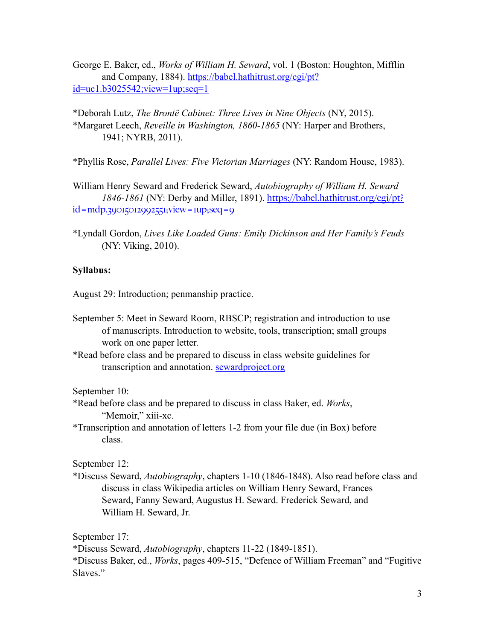George E. Baker, ed., *Works of William H. Seward*, vol. 1 (Boston: Houghton, Mifflin and Company, 1884). [https://babel.hathitrust.org/cgi/pt?](https://babel.hathitrust.org/cgi/pt?id=uc1.b3025542;view=1up;seq=1) [id=uc1.b3025542;view=1up;seq=1](https://babel.hathitrust.org/cgi/pt?id=uc1.b3025542;view=1up;seq=1)

\*Deborah Lutz, *The Brontë Cabinet: Three Lives in Nine Objects* (NY, 2015). \*Margaret Leech, *Reveille in Washington, 1860-1865* (NY: Harper and Brothers, 1941; NYRB, 2011).

\*Phyllis Rose, *Parallel Lives: Five Victorian Marriages* (NY: Random House, 1983).

William Henry Seward and Frederick Seward, *Autobiography of William H. Seward 1846-1861* (NY: Derby and Miller, 1891). [https://babel.hathitrust.org/cgi/pt?](https://babel.hathitrust.org/cgi/pt?id=mdp.39015012992551;view=1up;seq=9)  $id = mdp.39015012992551;$  view =  $rup; seq = 9$ 

\*Lyndall Gordon, *Lives Like Loaded Guns: Emily Dickinson and Her Family's Feuds*  (NY: Viking, 2010).

#### **Syllabus:**

August 29: Introduction; penmanship practice.

- September 5: Meet in Seward Room, RBSCP; registration and introduction to use of manuscripts. Introduction to website, tools, transcription; small groups work on one paper letter.
- \*Read before class and be prepared to discuss in class website guidelines for transcription and annotation. sewardproject.org

September 10:

- \*Read before class and be prepared to discuss in class Baker, ed. *Works*, "Memoir," xiii-xc.
- \*Transcription and annotation of letters 1-2 from your file due (in Box) before class.

September 12:

\*Discuss Seward, *Autobiography*, chapters 1-10 (1846-1848). Also read before class and discuss in class Wikipedia articles on William Henry Seward, Frances Seward, Fanny Seward, Augustus H. Seward. Frederick Seward, and William H. Seward, Jr.

September 17:

\*Discuss Seward, *Autobiography*, chapters 11-22 (1849-1851).

\*Discuss Baker, ed., *Works*, pages 409-515, "Defence of William Freeman" and "Fugitive Slaves."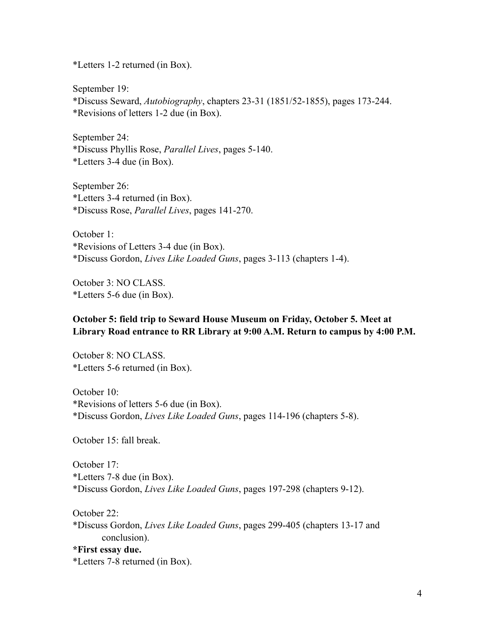\*Letters 1-2 returned (in Box).

September 19: \*Discuss Seward, *Autobiography*, chapters 23-31 (1851/52-1855), pages 173-244. \*Revisions of letters 1-2 due (in Box).

September 24: \*Discuss Phyllis Rose, *Parallel Lives*, pages 5-140. \*Letters 3-4 due (in Box).

September 26: \*Letters 3-4 returned (in Box). \*Discuss Rose, *Parallel Lives*, pages 141-270.

October 1: \*Revisions of Letters 3-4 due (in Box). \*Discuss Gordon, *Lives Like Loaded Guns*, pages 3-113 (chapters 1-4).

October 3: NO CLASS. \*Letters 5-6 due (in Box).

## **October 5: field trip to Seward House Museum on Friday, October 5. Meet at Library Road entrance to RR Library at 9:00 A.M. Return to campus by 4:00 P.M.**

October 8: NO CLASS. \*Letters 5-6 returned (in Box).

October 10: \*Revisions of letters 5-6 due (in Box). \*Discuss Gordon, *Lives Like Loaded Guns*, pages 114-196 (chapters 5-8).

October 15: fall break.

October 17: \*Letters 7-8 due (in Box). \*Discuss Gordon, *Lives Like Loaded Guns*, pages 197-298 (chapters 9-12).

October 22: \*Discuss Gordon, *Lives Like Loaded Guns*, pages 299-405 (chapters 13-17 and conclusion).

**\*First essay due.**  \*Letters 7-8 returned (in Box).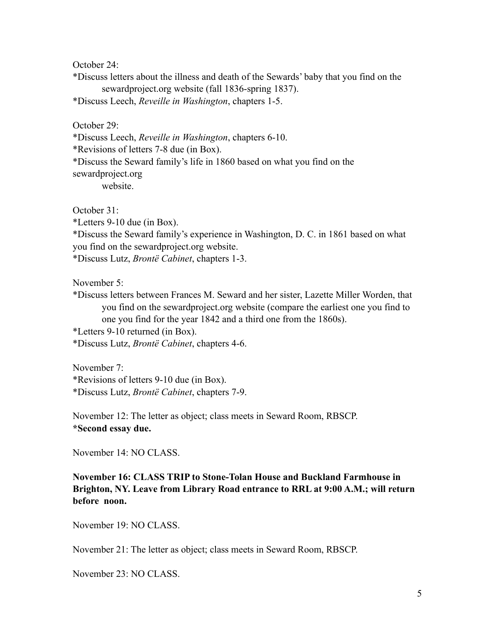October 24:

\*Discuss letters about the illness and death of the Sewards' baby that you find on the sewardproject.org website (fall 1836-spring 1837).

\*Discuss Leech, *Reveille in Washington*, chapters 1-5.

October 29:

\*Discuss Leech, *Reveille in Washington*, chapters 6-10.

\*Revisions of letters 7-8 due (in Box).

\*Discuss the Seward family's life in 1860 based on what you find on the

sewardproject.org

website.

October 31:

\*Letters 9-10 due (in Box).

\*Discuss the Seward family's experience in Washington, D. C. in 1861 based on what you find on the sewardproject.org website.

\*Discuss Lutz, *Brontë Cabinet*, chapters 1-3.

November 5:

\*Discuss letters between Frances M. Seward and her sister, Lazette Miller Worden, that you find on the sewardproject.org website (compare the earliest one you find to one you find for the year 1842 and a third one from the 1860s).

\*Letters 9-10 returned (in Box).

\*Discuss Lutz, *Brontë Cabinet*, chapters 4-6.

November 7: \*Revisions of letters 9-10 due (in Box). \*Discuss Lutz, *Brontë Cabinet*, chapters 7-9.

November 12: The letter as object; class meets in Seward Room, RBSCP. **\*Second essay due.** 

November 14: NO CLASS.

**November 16: CLASS TRIP to Stone-Tolan House and Buckland Farmhouse in Brighton, NY. Leave from Library Road entrance to RRL at 9:00 A.M.; will return before noon.** 

November 19: NO CLASS.

November 21: The letter as object; class meets in Seward Room, RBSCP.

November 23: NO CLASS.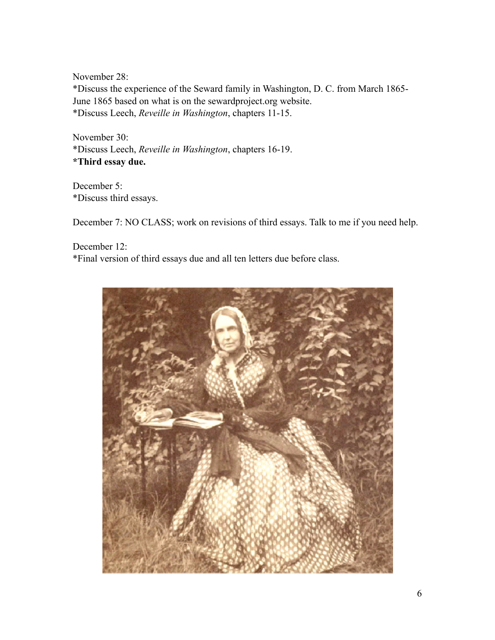November 28: \*Discuss the experience of the Seward family in Washington, D. C. from March 1865- June 1865 based on what is on the sewardproject.org website. \*Discuss Leech, *Reveille in Washington*, chapters 11-15.

November 30: \*Discuss Leech, *Reveille in Washington*, chapters 16-19. **\*Third essay due.** 

December 5: \*Discuss third essays.

December 7: NO CLASS; work on revisions of third essays. Talk to me if you need help.

December 12: \*Final version of third essays due and all ten letters due before class.